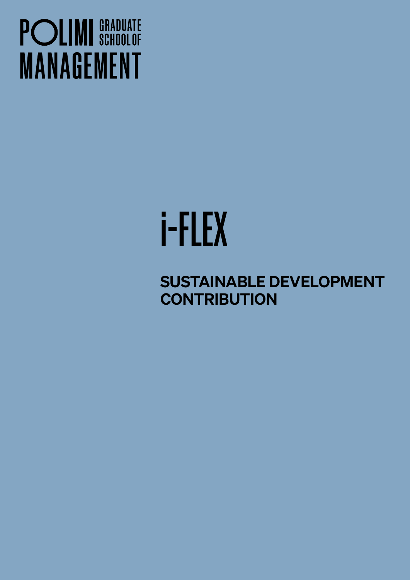## **POLIMI** SCHOOLOF **MANAGEMENT**

# i-FLEX

SUSTAINABLE DEVELOPMENT **CONTRIBUTION**